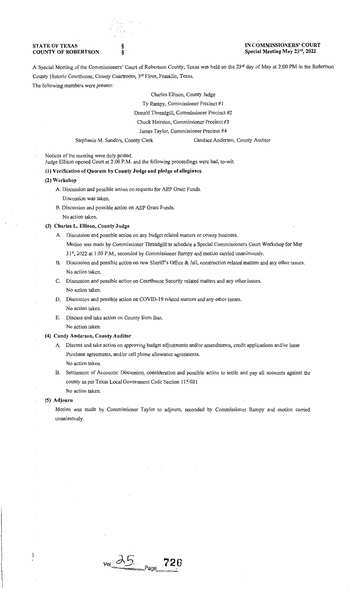## **STATE OF TEXAS** COUNTY OF ROBERTSON

# IN COMMISSIONERS' COURT Special Meeting May 23rd, 2022

A Special Meeting of the Commissioners' Court of Robertson County, Texas was held on the 23rd day of May at 2:00 PM in the Robertson County Historic Courthouse, County Courtroom, 3rd Floor, Franklin, Texas.

The following members were present:

Charles Ellison, County Judge

Ty Rampy, Commissioner Precinct #1

Donald Threadgill, Commissioner Precinct #2

Chuck Hairston, Commissioner Precinct #3

James Taylor, Commissioner Precinct #4

Stephanie M. Sanders, County Clerk Candace Anderson, County Auditor

Notices of the meeting were duly posted.

Judge Ellison opened Court at 2:00 P.M. and the following proceedings were had, to-wit:

# (1) Verification of Quorum by County Judge and pledge of allegiance

§ §

#### (2) Workshop

- A. Discussion and possible action on requests for ARP Grant Funds. Discussion was taken.
- B. Discussion and possible action on ARP Grant Funds. No action taken.

### (3) Charles L. Ellison, County Judge

A. Discussion and possible action on any budget related matters or county business. Motion was made by Commissioner Threadgill to schedule a Special Commissioners Court Workshop for May 31st, 2022 at 1 :00 P.M., seconded by Commissioner Rampy and motion carried unanimously.

- B. Discussion and possible action on new Sheriff's Office & Jail, construction related matters and any other issues. No action taken.
- C. Discussion and possible action on Courthouse Security related matters and any other issues. No action taken.
- D. Discussion and possible action on COVID-19 related matters and any other issues. No action taken.
- E. Discuss and take action on County Bum Ban. No action taken.

## (4) Candy Anderson, County Auditor

A. Discuss and take action on approving budget adjustments and/or amendments, credit applications and/or lease Purchase agreements, and/or cell phone allowance agreements. No action taken.

B. Settlement of Accounts: Discussion, consideration and possible action to settle and pay all accounts against the county as per Texas Local Government Code Section 115.021 No action taken.

### (5) Adjourn

 $\mathbf{1}$ 

Motion was made by Commissioner Taylor to adjourn, seconded by Commissioner Rampy and motion carried unanimously.

 $25$   $P_{age}$   $726$